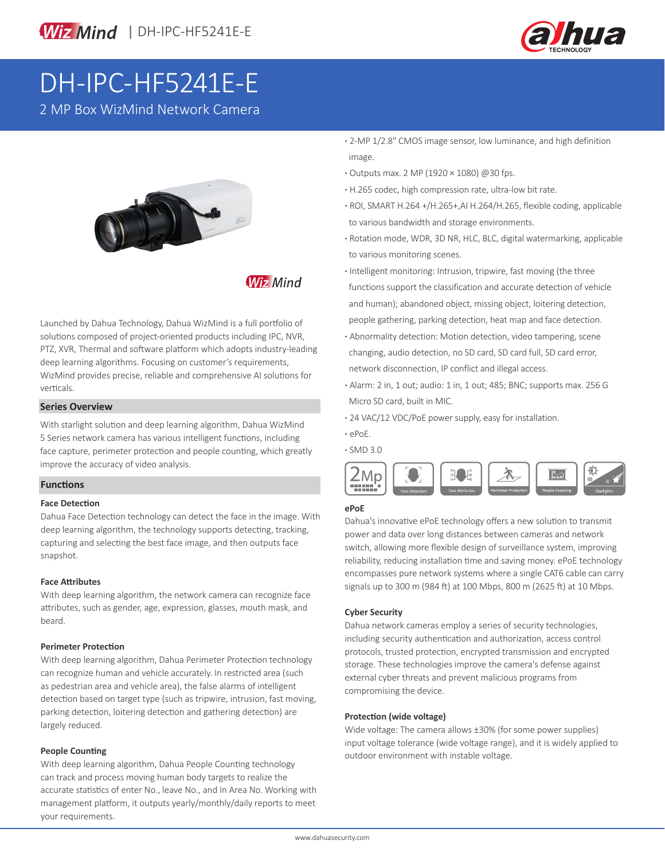

# DH-IPC-HF5241E-E

2 MP Box WizMind Network Camera



**Wiz Mind** 

Launched by Dahua Technology, Dahua WizMind is a full portfolio of solutions composed of project-oriented products including IPC, NVR, PTZ, XVR, Thermal and software platform which adopts industry-leading deep learning algorithms. Focusing on customer's requirements, WizMind provides precise, reliable and comprehensive AI solutions for verticals.

#### **Series Overview**

With starlight solution and deep learning algorithm, Dahua WizMind 5 Series network camera has various intelligent functions, including face capture, perimeter protection and people counting, which greatly improve the accuracy of video analysis.

#### **Functions**

#### **Face Detection**

Dahua Face Detection technology can detect the face in the image. With deep learning algorithm, the technology supports detecting, tracking, capturing and selecting the best face image, and then outputs face snapshot.

#### **Face Attributes**

With deep learning algorithm, the network camera can recognize face attributes, such as gender, age, expression, glasses, mouth mask, and beard.

#### **Perimeter Protection**

With deep learning algorithm, Dahua Perimeter Protection technology can recognize human and vehicle accurately. In restricted area (such as pedestrian area and vehicle area), the false alarms of intelligent detection based on target type (such as tripwire, intrusion, fast moving, parking detection, loitering detection and gathering detection) are largely reduced.

#### **People Counting**

With deep learning algorithm, Dahua People Counting technology can track and process moving human body targets to realize the accurate statistics of enter No., leave No., and In Area No. Working with management platform, it outputs yearly/monthly/daily reports to meet your requirements.

- **·** 2-MP 1/2.8" CMOS image sensor, low luminance, and high definition image.
- **·** Outputs max. 2 MP (1920 × 1080) @30 fps.
- **·** H.265 codec, high compression rate, ultra-low bit rate.
- **·** ROI, SMART H.264 +/H.265+,AI H.264/H.265, flexible coding, applicable to various bandwidth and storage environments.
- **·** Rotation mode, WDR, 3D NR, HLC, BLC, digital watermarking, applicable to various monitoring scenes.
- **·** Intelligent monitoring: Intrusion, tripwire, fast moving (the three functions support the classification and accurate detection of vehicle and human); abandoned object, missing object, loitering detection, people gathering, parking detection, heat map and face detection.
- **·** Abnormality detection: Motion detection, video tampering, scene changing, audio detection, no SD card, SD card full, SD card error, network disconnection, IP conflict and illegal access.
- **·** Alarm: 2 in, 1 out; audio: 1 in, 1 out; 485; BNC; supports max. 256 G Micro SD card, built in MIC.
- **·** 24 VAC/12 VDC/PoE power supply, easy for installation.
- **·** ePoE.
- **·** SMD 3.0



#### **ePoE**

Dahua's innovative ePoE technology offers a new solution to transmit power and data over long distances between cameras and network switch, allowing more flexible design of surveillance system, improving reliability, reducing installation time and saving money. ePoE technology encompasses pure network systems where a single CAT6 cable can carry signals up to 300 m (984 ft) at 100 Mbps, 800 m (2625 ft) at 10 Mbps.

#### **Cyber Security**

Dahua network cameras employ a series of security technologies, including security authentication and authorization, access control protocols, trusted protection, encrypted transmission and encrypted storage. These technologies improve the camera's defense against external cyber threats and prevent malicious programs from compromising the device.

#### **Protection (wide voltage)**

Wide voltage: The camera allows ±30% (for some power supplies) input voltage tolerance (wide voltage range), and it is widely applied to outdoor environment with instable voltage.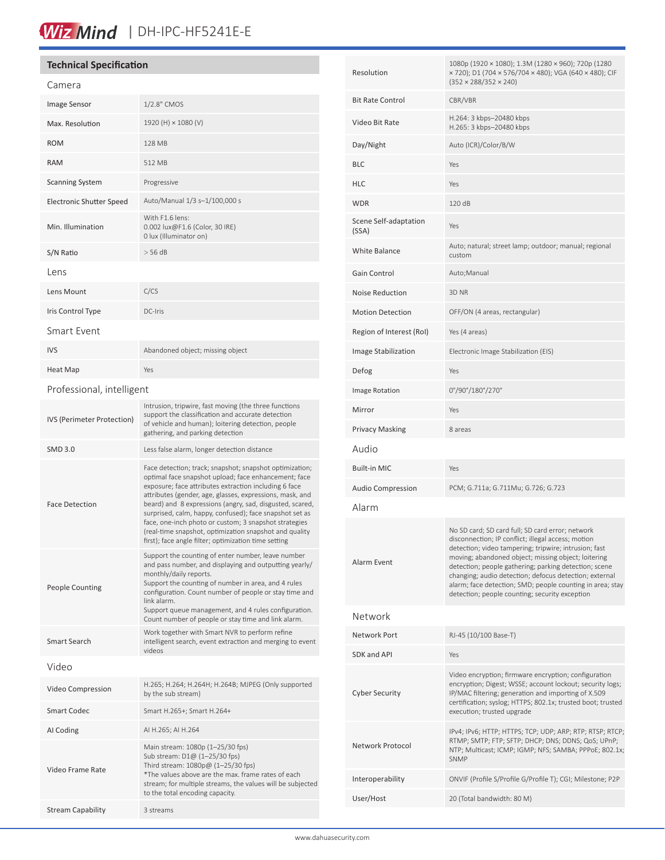# Wiz Mind | DH-IPC-HF5241E-E

### **Technical Specification**

| Camera                          |                                                                                                                                                                                                                                                                                                                                                                                                                                                                                                                                        |  |  |
|---------------------------------|----------------------------------------------------------------------------------------------------------------------------------------------------------------------------------------------------------------------------------------------------------------------------------------------------------------------------------------------------------------------------------------------------------------------------------------------------------------------------------------------------------------------------------------|--|--|
| <b>Image Sensor</b>             | 1/2.8" CMOS                                                                                                                                                                                                                                                                                                                                                                                                                                                                                                                            |  |  |
| Max. Resolution                 | 1920 (H) × 1080 (V)                                                                                                                                                                                                                                                                                                                                                                                                                                                                                                                    |  |  |
| <b>ROM</b>                      | 128 MB                                                                                                                                                                                                                                                                                                                                                                                                                                                                                                                                 |  |  |
| <b>RAM</b>                      | 512 MB                                                                                                                                                                                                                                                                                                                                                                                                                                                                                                                                 |  |  |
| <b>Scanning System</b>          | Progressive                                                                                                                                                                                                                                                                                                                                                                                                                                                                                                                            |  |  |
| <b>Electronic Shutter Speed</b> | Auto/Manual 1/3 s-1/100,000 s                                                                                                                                                                                                                                                                                                                                                                                                                                                                                                          |  |  |
| Min. Illumination               | With F1.6 lens:<br>0.002 lux@F1.6 (Color, 30 IRE)<br>0 lux (Illuminator on)                                                                                                                                                                                                                                                                                                                                                                                                                                                            |  |  |
| S/N Ratio                       | $>$ 56 dB                                                                                                                                                                                                                                                                                                                                                                                                                                                                                                                              |  |  |
| Lens                            |                                                                                                                                                                                                                                                                                                                                                                                                                                                                                                                                        |  |  |
| Lens Mount                      | C/CS                                                                                                                                                                                                                                                                                                                                                                                                                                                                                                                                   |  |  |
| Iris Control Type               | DC-Iris                                                                                                                                                                                                                                                                                                                                                                                                                                                                                                                                |  |  |
| Smart Event                     |                                                                                                                                                                                                                                                                                                                                                                                                                                                                                                                                        |  |  |
| <b>IVS</b>                      | Abandoned object; missing object                                                                                                                                                                                                                                                                                                                                                                                                                                                                                                       |  |  |
| Heat Map                        | Yes                                                                                                                                                                                                                                                                                                                                                                                                                                                                                                                                    |  |  |
| Professional, intelligent       |                                                                                                                                                                                                                                                                                                                                                                                                                                                                                                                                        |  |  |
| IVS (Perimeter Protection)      | Intrusion, tripwire, fast moving (the three functions<br>support the classification and accurate detection<br>of vehicle and human); loitering detection, people<br>gathering, and parking detection                                                                                                                                                                                                                                                                                                                                   |  |  |
| <b>SMD 3.0</b>                  | Less false alarm, longer detection distance                                                                                                                                                                                                                                                                                                                                                                                                                                                                                            |  |  |
| <b>Face Detection</b>           | Face detection; track; snapshot; snapshot optimization;<br>optimal face snapshot upload; face enhancement; face<br>exposure; face attributes extraction including 6 face<br>attributes (gender, age, glasses, expressions, mask, and<br>beard) and 8 expressions (angry, sad, disgusted, scared,<br>surprised, calm, happy, confused); face snapshot set as<br>face, one-inch photo or custom; 3 snapshot strategies<br>(real-time snapshot, optimization snapshot and quality<br>first); face angle filter; optimization time setting |  |  |
| <b>People Counting</b>          | Support the counting of enter number, leave number<br>and pass number, and displaying and outputting yearly/<br>monthly/daily reports.<br>Support the counting of number in area, and 4 rules<br>configuration. Count number of people or stay time and<br>link alarm.<br>Support queue management, and 4 rules configuration.<br>Count number of people or stay time and link alarm.                                                                                                                                                  |  |  |
| Smart Search                    | Work together with Smart NVR to perform refine<br>intelligent search, event extraction and merging to event<br>videos                                                                                                                                                                                                                                                                                                                                                                                                                  |  |  |
| Video                           |                                                                                                                                                                                                                                                                                                                                                                                                                                                                                                                                        |  |  |
| Video Compression               | H.265; H.264; H.264H; H.264B; MJPEG (Only supported<br>by the sub stream)                                                                                                                                                                                                                                                                                                                                                                                                                                                              |  |  |
| <b>Smart Codec</b>              | Smart H.265+; Smart H.264+                                                                                                                                                                                                                                                                                                                                                                                                                                                                                                             |  |  |
| AI Coding                       | AI H.265; AI H.264                                                                                                                                                                                                                                                                                                                                                                                                                                                                                                                     |  |  |
| Video Frame Rate                | Main stream: 1080p (1-25/30 fps)<br>Sub stream: D1@ (1-25/30 fps)<br>Third stream: 1080p@ (1-25/30 fps)<br>*The values above are the max. frame rates of each<br>stream; for multiple streams, the values will be subjected<br>to the total encoding capacity.                                                                                                                                                                                                                                                                         |  |  |
| <b>Stream Capability</b>        | 3 streams                                                                                                                                                                                                                                                                                                                                                                                                                                                                                                                              |  |  |

| Resolution                     | 1080p (1920 × 1080); 1.3M (1280 × 960); 720p (1280<br>× 720); D1 (704 × 576/704 × 480); VGA (640 × 480); CIF<br>$(352 \times 288/352 \times 240)$                                                                                                                                                                                                                                                                                                        |  |
|--------------------------------|----------------------------------------------------------------------------------------------------------------------------------------------------------------------------------------------------------------------------------------------------------------------------------------------------------------------------------------------------------------------------------------------------------------------------------------------------------|--|
| <b>Bit Rate Control</b>        | CBR/VBR                                                                                                                                                                                                                                                                                                                                                                                                                                                  |  |
| Video Bit Rate                 | H.264: 3 kbps-20480 kbps<br>H.265: 3 kbps-20480 kbps                                                                                                                                                                                                                                                                                                                                                                                                     |  |
| Day/Night                      | Auto (ICR)/Color/B/W                                                                                                                                                                                                                                                                                                                                                                                                                                     |  |
| <b>BLC</b>                     | Yes                                                                                                                                                                                                                                                                                                                                                                                                                                                      |  |
| <b>HLC</b>                     | Yes                                                                                                                                                                                                                                                                                                                                                                                                                                                      |  |
| <b>WDR</b>                     | 120 dB                                                                                                                                                                                                                                                                                                                                                                                                                                                   |  |
| Scene Self-adaptation<br>(SSA) | Yes                                                                                                                                                                                                                                                                                                                                                                                                                                                      |  |
| <b>White Balance</b>           | Auto; natural; street lamp; outdoor; manual; regional<br>custom                                                                                                                                                                                                                                                                                                                                                                                          |  |
| Gain Control                   | Auto; Manual                                                                                                                                                                                                                                                                                                                                                                                                                                             |  |
| <b>Noise Reduction</b>         | 3D NR                                                                                                                                                                                                                                                                                                                                                                                                                                                    |  |
| <b>Motion Detection</b>        | OFF/ON (4 areas, rectangular)                                                                                                                                                                                                                                                                                                                                                                                                                            |  |
| Region of Interest (RoI)       | Yes (4 areas)                                                                                                                                                                                                                                                                                                                                                                                                                                            |  |
| Image Stabilization            | Electronic Image Stabilization (EIS)                                                                                                                                                                                                                                                                                                                                                                                                                     |  |
| Defog                          | Yes                                                                                                                                                                                                                                                                                                                                                                                                                                                      |  |
| Image Rotation                 | 0°/90°/180°/270°                                                                                                                                                                                                                                                                                                                                                                                                                                         |  |
| Mirror                         | Yes                                                                                                                                                                                                                                                                                                                                                                                                                                                      |  |
| <b>Privacy Masking</b>         | 8 areas                                                                                                                                                                                                                                                                                                                                                                                                                                                  |  |
| Audio                          |                                                                                                                                                                                                                                                                                                                                                                                                                                                          |  |
| <b>Built-in MIC</b>            | Yes                                                                                                                                                                                                                                                                                                                                                                                                                                                      |  |
| <b>Audio Compression</b>       | PCM; G.711a; G.711Mu; G.726; G.723                                                                                                                                                                                                                                                                                                                                                                                                                       |  |
| Alarm                          |                                                                                                                                                                                                                                                                                                                                                                                                                                                          |  |
| Alarm Event                    | No SD card; SD card full; SD card error; network<br>disconnection; IP conflict; illegal access; motion<br>detection; video tampering; tripwire; intrusion; fast<br>moving; abandoned object; missing object; loitering<br>detection; people gathering; parking detection; scene<br>changing; audio detection; defocus detection; external<br>alarm; face detection; SMD; people counting in area; stay<br>detection; people counting; security exception |  |
| Network                        |                                                                                                                                                                                                                                                                                                                                                                                                                                                          |  |
| Network Port                   | RJ-45 (10/100 Base-T)                                                                                                                                                                                                                                                                                                                                                                                                                                    |  |
| SDK and API                    | Yes                                                                                                                                                                                                                                                                                                                                                                                                                                                      |  |
| <b>Cyber Security</b>          | Video encryption; firmware encryption; configuration<br>encryption; Digest; WSSE; account lockout; security logs;<br>IP/MAC filtering; generation and importing of X.509<br>certification; syslog; HTTPS; 802.1x; trusted boot; trusted<br>execution; trusted upgrade                                                                                                                                                                                    |  |
| Network Protocol               | IPv4; IPv6; HTTP; HTTPS; TCP; UDP; ARP; RTP; RTSP; RTCP;<br>RTMP; SMTP; FTP; SFTP; DHCP; DNS; DDNS; QoS; UPnP;<br>NTP; Multicast; ICMP; IGMP; NFS; SAMBA; PPPoE; 802.1x;<br>SNMP                                                                                                                                                                                                                                                                         |  |
| Interoperability               | ONVIF (Profile S/Profile G/Profile T); CGI; Milestone; P2P                                                                                                                                                                                                                                                                                                                                                                                               |  |
| User/Host                      | 20 (Total bandwidth: 80 M)                                                                                                                                                                                                                                                                                                                                                                                                                               |  |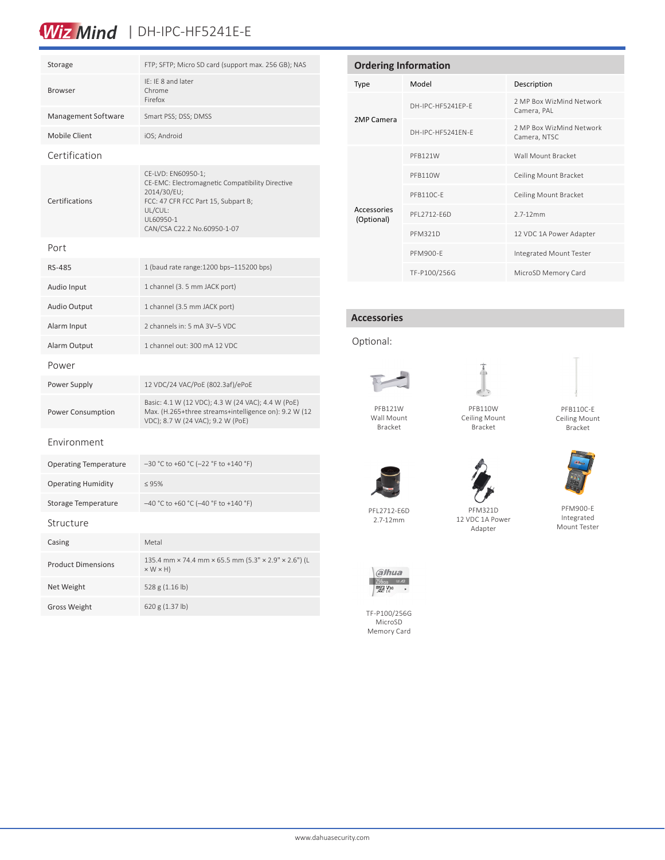## Wiz Mind | DH-IPC-HF5241E-E

| Storage                      | FTP; SFTP; Micro SD card (support max. 256 GB); NAS                                                                                                                                |  |
|------------------------------|------------------------------------------------------------------------------------------------------------------------------------------------------------------------------------|--|
| <b>Browser</b>               | IE: IE 8 and later<br>Chrome<br>Firefox                                                                                                                                            |  |
| Management Software          | Smart PSS; DSS; DMSS                                                                                                                                                               |  |
| <b>Mobile Client</b>         | iOS; Android                                                                                                                                                                       |  |
| Certification                |                                                                                                                                                                                    |  |
| Certifications               | CE-LVD: EN60950-1;<br>CE-EMC: Electromagnetic Compatibility Directive<br>2014/30/EU;<br>FCC: 47 CFR FCC Part 15, Subpart B;<br>UL/CUL:<br>UL60950-1<br>CAN/CSA C22.2 No.60950-1-07 |  |
| Port                         |                                                                                                                                                                                    |  |
| <b>RS-485</b>                | 1 (baud rate range: 1200 bps-115200 bps)                                                                                                                                           |  |
| Audio Input                  | 1 channel (3. 5 mm JACK port)                                                                                                                                                      |  |
| <b>Audio Output</b>          | 1 channel (3.5 mm JACK port)                                                                                                                                                       |  |
| Alarm Input                  | 2 channels in: 5 mA 3V-5 VDC                                                                                                                                                       |  |
| Alarm Output                 | 1 channel out: 300 mA 12 VDC                                                                                                                                                       |  |
| Power                        |                                                                                                                                                                                    |  |
| Power Supply                 | 12 VDC/24 VAC/PoE (802.3af)/ePoE                                                                                                                                                   |  |
| <b>Power Consumption</b>     | Basic: 4.1 W (12 VDC); 4.3 W (24 VAC); 4.4 W (PoE)<br>Max. (H.265+three streams+intelligence on): 9.2 W (12<br>VDC); 8.7 W (24 VAC); 9.2 W (PoE)                                   |  |
| Environment                  |                                                                                                                                                                                    |  |
| <b>Operating Temperature</b> | $-30$ °C to +60 °C (-22 °F to +140 °F)                                                                                                                                             |  |
| <b>Operating Humidity</b>    | $\leq 95\%$                                                                                                                                                                        |  |
| Storage Temperature          | -40 °C to +60 °C (-40 °F to +140 °F)                                                                                                                                               |  |
| Structure                    |                                                                                                                                                                                    |  |
| Casing                       | Metal                                                                                                                                                                              |  |
| <b>Product Dimensions</b>    | 135.4 mm × 74.4 mm × 65.5 mm (5.3" × 2.9" × 2.6") (L<br>$\times$ W $\times$ H)                                                                                                     |  |
| Net Weight                   | 528 g (1.16 lb)                                                                                                                                                                    |  |
| <b>Gross Weight</b>          | 620 g (1.37 lb)                                                                                                                                                                    |  |

| <b>Ordering Information</b> |                   |                                          |  |
|-----------------------------|-------------------|------------------------------------------|--|
| Type                        | Model             | Description                              |  |
| 2MP Camera                  | DH-IPC-HF5241FP-F | 2 MP Box WizMind Network<br>Camera, PAL  |  |
|                             | DH-IPC-HE5241FN-F | 2 MP Box WizMind Network<br>Camera, NTSC |  |
| Accessories<br>(Optional)   | PFB121W           | Wall Mount Bracket                       |  |
|                             | PFB110W           | Ceiling Mount Bracket                    |  |
|                             | PFB110C-F         | Ceiling Mount Bracket                    |  |
|                             | PFI 2712-F6D      | $2.7 - 12$ mm                            |  |
|                             | <b>PFM321D</b>    | 12 VDC 1A Power Adapter                  |  |
|                             | PFM900-F          | Integrated Mount Tester                  |  |
|                             | TF-P100/256G      | MicroSD Memory Card                      |  |

#### **Accessories**





PFB121W Wall Mount Bracket

د ای

PFB110W Ceiling Mount Bracket



Ceiling Mount Bracket



PFM900-E Integrated Mount Tester

PFL2712-E6D 2.7-12mm

PFM321D 12 VDC 1A Power Adapter



a/hua  $\frac{2566B}{mgg}\frac{u}{480}$ 

TF-P100/256G MicroSD Memory Card